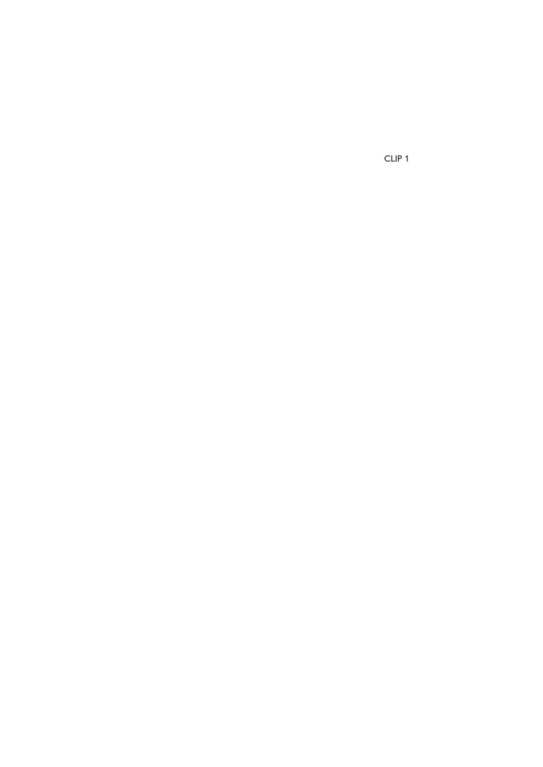CLIP 1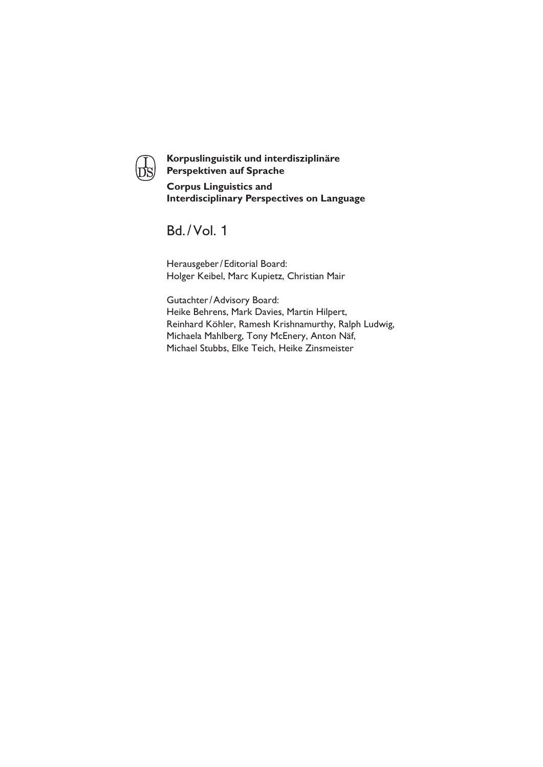

**Korpuslinguistik und interdisziplinäre Perspektiven auf Sprache Corpus Linguistics and Interdisciplinary Perspectives on Language**

# Bd./ Vol. 1

Herausgeber/ Editorial Board: Holger Keibel, Marc Kupietz, Christian Mair

Gutachter/Advisory Board: Heike Behrens, Mark Davies, Martin Hilpert, Reinhard Köhler, Ramesh Krishnamurthy, Ralph Ludwig, Michaela Mahlberg, Tony McEnery, Anton Näf, Michael Stubbs, Elke Teich, Heike Zinsmeister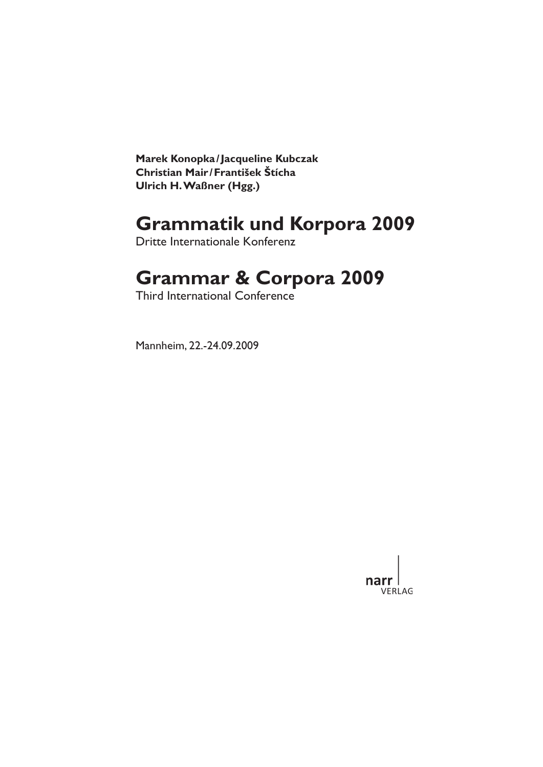**Marek Konopka/ Jacqueline Kubczak Christian Mair/ František Štícha Ulrich H.Waßner (Hgg.)**

# **Grammatik und Korpora 2009**

Dritte Internationale Konferenz

# **Grammar & Corpora 2009**

Third International Conference

Mannheim, 22.-24.09.2009

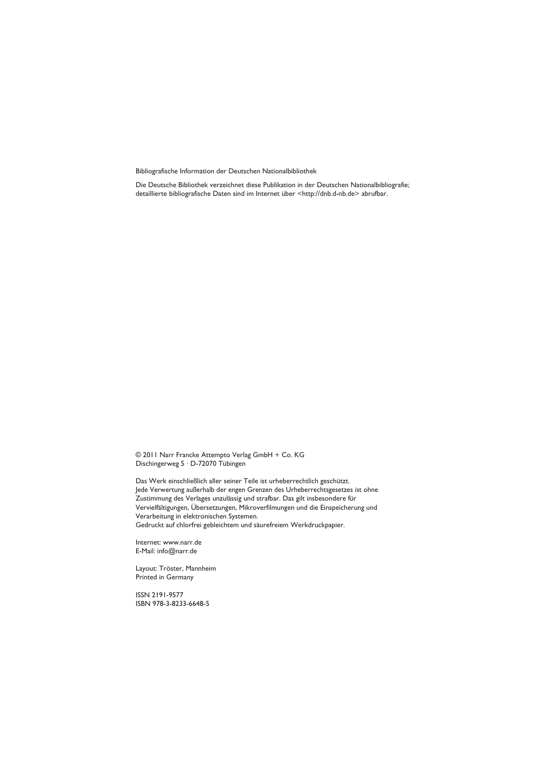Bibliografische Information der Deutschen Nationalbibliothek

Die Deutsche Bibliothek verzeichnet diese Publikation in der Deutschen Nationalbibliografie; detaillierte bibliografische Daten sind im Internet über <http://dnb.d-nb.de> abrufbar.

© 2011 Narr Francke Attempto Verlag GmbH + Co. KG Dischingerweg 5 · D-72070 Tübingen

Das Werk einschließlich aller seiner Teile ist urheberrechtlich geschützt. Jede Verwertung außerhalb der engen Grenzen des Urheberrechtsgesetzes ist ohne Zustimmung des Verlages unzulässig und strafbar. Das gilt insbesondere für Vervielfältigungen, Übersetzungen, Mikroverfilmungen und die Einspeicherung und Verarbeitung in elektronischen Systemen.

Gedruckt auf chlorfrei gebleichtem und säurefreiem Werkdruckpapier.

Internet: www.narr.de E-Mail: info@narr.de

Layout: Tröster, Mannheim Printed in Germany

ISSN 2191-9577 ISBN 978-3-8233-6648-5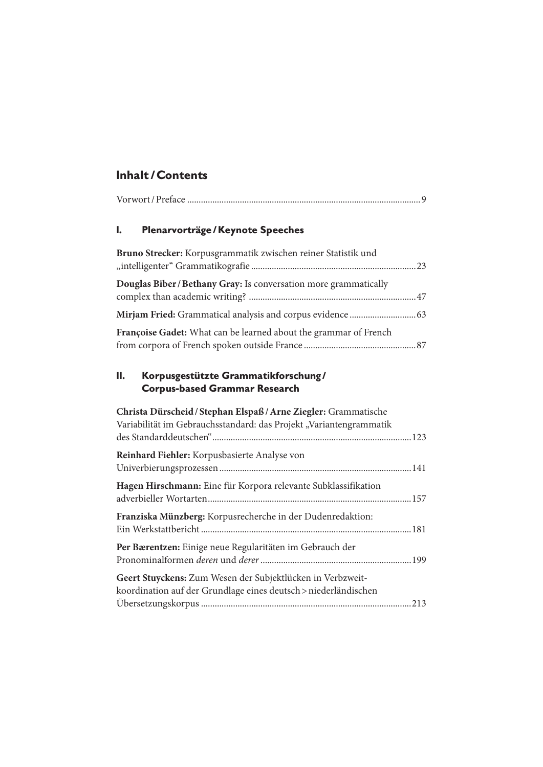## **Inhalt / Contents**

| Plenarvorträge / Keynote Speeches<br>I.                                                                                               |
|---------------------------------------------------------------------------------------------------------------------------------------|
| Bruno Strecker: Korpusgrammatik zwischen reiner Statistik und                                                                         |
| Douglas Biber / Bethany Gray: Is conversation more grammatically                                                                      |
|                                                                                                                                       |
| Françoise Gadet: What can be learned about the grammar of French                                                                      |
| Н.<br>Korpusgestützte Grammatikforschung/<br><b>Corpus-based Grammar Research</b>                                                     |
| Christa Dürscheid / Stephan Elspaß / Arne Ziegler: Grammatische<br>Variabilität im Gebrauchsstandard: das Projekt "Variantengrammatik |
| Reinhard Fiehler: Korpusbasierte Analyse von                                                                                          |
| Hagen Hirschmann: Eine für Korpora relevante Subklassifikation                                                                        |
| Franziska Münzberg: Korpusrecherche in der Dudenredaktion:                                                                            |
| Per Bærentzen: Einige neue Regularitäten im Gebrauch der                                                                              |
| Geert Stuyckens: Zum Wesen der Subjektlücken in Verbzweit-                                                                            |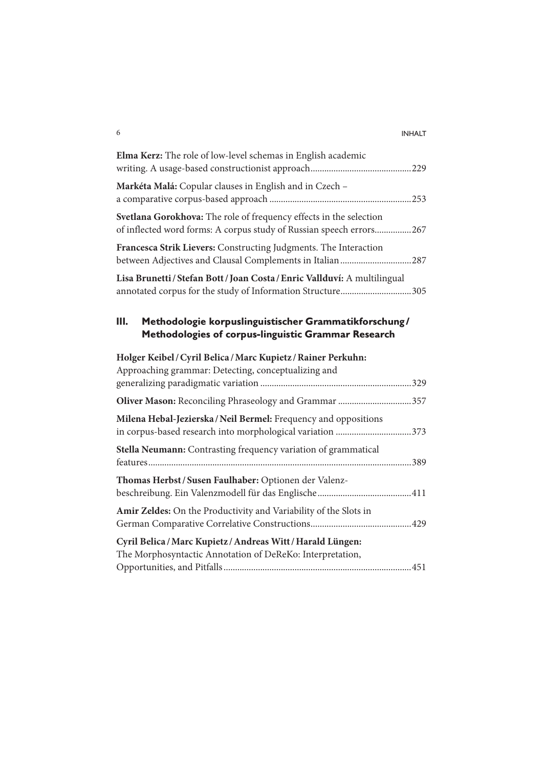#### 6 INHALT

| Elma Kerz: The role of low-level schemas in English academic                                                                              |
|-------------------------------------------------------------------------------------------------------------------------------------------|
| Markéta Malá: Copular clauses in English and in Czech -                                                                                   |
| Svetlana Gorokhova: The role of frequency effects in the selection<br>of inflected word forms: A corpus study of Russian speech errors267 |
| Francesca Strik Lievers: Constructing Judgments. The Interaction<br>between Adjectives and Clausal Complements in Italian 287             |
| Lisa Brunetti / Stefan Bott / Joan Costa / Enric Vallduví: A multilingual<br>annotated corpus for the study of Information Structure305   |
| Ш.<br>Methodologie korpuslinguistischer Grammatikforschung/<br>Methodologies of corpus-linguistic Grammar Research                        |
| Holger Keibel/Cyril Belica/Marc Kupietz/Rainer Perkuhn:<br>Approaching grammar: Detecting, conceptualizing and                            |
|                                                                                                                                           |
| Milena Hebal-Jezierska / Neil Bermel: Frequency and oppositions<br>in corpus-based research into morphological variation 373              |
| Stella Neumann: Contrasting frequency variation of grammatical                                                                            |
| Thomas Herbst / Susen Faulhaber: Optionen der Valenz-                                                                                     |
| Amir Zeldes: On the Productivity and Variability of the Slots in                                                                          |
| Cyril Belica / Marc Kupietz / Andreas Witt / Harald Lüngen:<br>The Morphosyntactic Annotation of DeReKo: Interpretation,                  |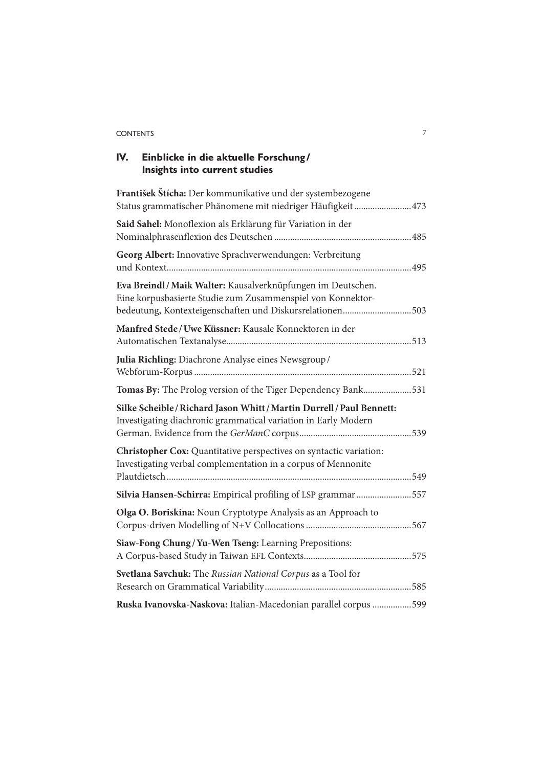### CONTENTS 7

# **IV. Einblicke in die aktuelle Forschung / Insights into current studies**

| František Štícha: Der kommunikative und der systembezogene<br>Status grammatischer Phänomene mit niedriger Häufigkeit 473                                                             |
|---------------------------------------------------------------------------------------------------------------------------------------------------------------------------------------|
| Said Sahel: Monoflexion als Erklärung für Variation in der                                                                                                                            |
| Georg Albert: Innovative Sprachverwendungen: Verbreitung<br>.495                                                                                                                      |
| Eva Breindl/Maik Walter: Kausalverknüpfungen im Deutschen.<br>Eine korpusbasierte Studie zum Zusammenspiel von Konnektor-<br>bedeutung, Kontexteigenschaften und Diskursrelationen503 |
| Manfred Stede/Uwe Küssner: Kausale Konnektoren in der                                                                                                                                 |
| Julia Richling: Diachrone Analyse eines Newsgroup/                                                                                                                                    |
| Tomas By: The Prolog version of the Tiger Dependency Bank531                                                                                                                          |
| Silke Scheible / Richard Jason Whitt / Martin Durrell / Paul Bennett:<br>Investigating diachronic grammatical variation in Early Modern                                               |
| Christopher Cox: Quantitative perspectives on syntactic variation:<br>Investigating verbal complementation in a corpus of Mennonite                                                   |
| Silvia Hansen-Schirra: Empirical profiling of LSP grammar 557                                                                                                                         |
| Olga O. Boriskina: Noun Cryptotype Analysis as an Approach to                                                                                                                         |
| Siaw-Fong Chung/Yu-Wen Tseng: Learning Prepositions:                                                                                                                                  |
| Svetlana Savchuk: The Russian National Corpus as a Tool for                                                                                                                           |
| Ruska Ivanovska-Naskova: Italian-Macedonian parallel corpus 599                                                                                                                       |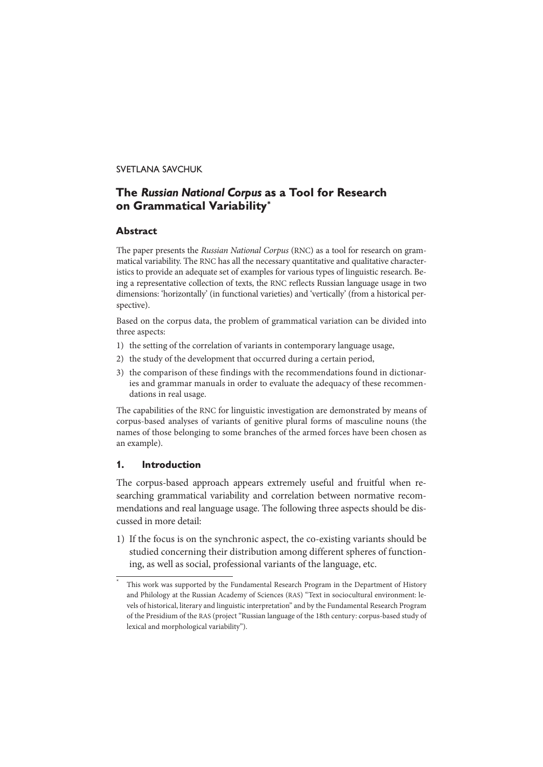#### SVETLANA SAVCHUK

## **The** *Russian National Corpus* **as a Tool for Research on Grammatical Variability\***

#### **Abstract**

The paper presents the Russian National Corpus (RNC) as a tool for research on grammatical variability. The RNC has all the necessary quantitative and qualitative characteristics to provide an adequate set of examples for various types of linguistic research. Being a representative collection of texts, the RNC reflects Russian language usage in two dimensions: 'horizontally' (in functional varieties) and 'vertically' (from a historical perspective).

Based on the corpus data, the problem of grammatical variation can be divided into three aspects:

- 1) the setting of the correlation of variants in contemporary language usage,
- 2) the study of the development that occurred during a certain period,
- 3) the comparison of these findings with the recommendations found in dictionaries and grammar manuals in order to evaluate the adequacy of these recommendations in real usage.

The capabilities of the RNC for linguistic investigation are demonstrated by means of corpus-based analyses of variants of genitive plural forms of masculine nouns (the names of those belonging to some branches of the armed forces have been chosen as an example).

#### **1. Introduction**

The corpus-based approach appears extremely useful and fruitful when researching grammatical variability and correlation between normative recommendations and real language usage. The following three aspects should be discussed in more detail:

1) If the focus is on the synchronic aspect, the co-existing variants should be studied concerning their distribution among different spheres of functioning, as well as social, professional variants of the language, etc.

This work was supported by the Fundamental Research Program in the Department of History and Philology at the Russian Academy of Sciences (RAS) "Text in sociocultural environment: levels of historical, literary and linguistic interpretation" and by the Fundamental Research Program of the Presidium of the RAS (project "Russian language of the 18th century: corpus-based study of lexical and morphological variability").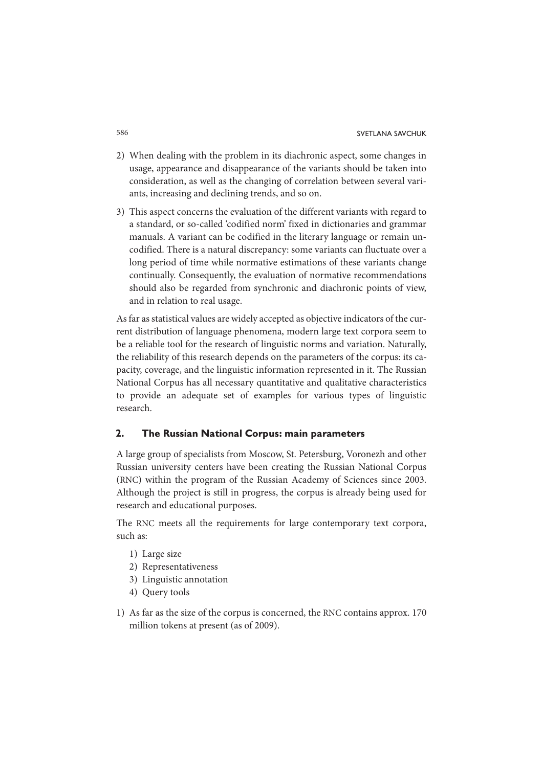- 2) When dealing with the problem in its diachronic aspect, some changes in usage, appearance and disappearance of the variants should be taken into consideration, as well as the changing of correlation between several variants, increasing and declining trends, and so on.
- 3) This aspect concerns the evaluation of the different variants with regard to a standard, or so-called 'codified norm' fixed in dictionaries and grammar manuals. A variant can be codified in the literary language or remain uncodified. There is a natural discrepancy: some variants can fluctuate over a long period of time while normative estimations of these variants change continually. Consequently, the evaluation of normative recommendations should also be regarded from synchronic and diachronic points of view, and in relation to real usage.

As far as statistical values are widely accepted as objective indicators of the current distribution of language phenomena, modern large text corpora seem to be a reliable tool for the research of linguistic norms and variation. Naturally, the reliability of this research depends on the parameters of the corpus: its capacity, coverage, and the linguistic information represented in it. The Russian National Corpus has all necessary quantitative and qualitative characteristics to provide an adequate set of examples for various types of linguistic research.

### **2. The Russian National Corpus: main parameters**

A large group of specialists from Moscow, St. Petersburg, Voronezh and other Russian university centers have been creating the Russian National Corpus (RNC) within the program of the Russian Academy of Sciences since 2003. Although the project is still in progress, the corpus is already being used for research and educational purposes.

The RNC meets all the requirements for large contemporary text corpora, such as:

- 1) Large size
- 2) Representativeness
- 3) Linguistic annotation
- 4) Query tools
- 1) As far as the size of the corpus is concerned, the RNC contains approx. 170 million tokens at present (as of 2009).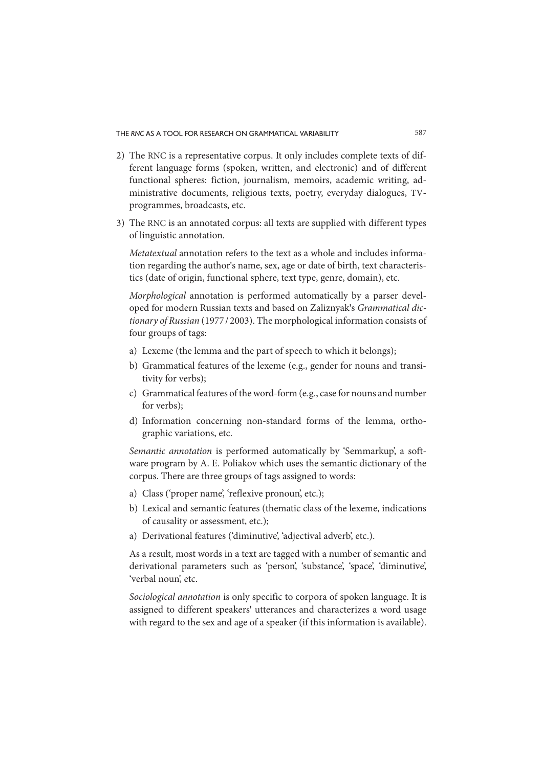- 2) The RNC is a representative corpus. It only includes complete texts of different language forms (spoken, written, and electronic) and of different functional spheres: fiction, journalism, memoirs, academic writing, administrative documents, religious texts, poetry, everyday dialogues, TVprogrammes, broadcasts, etc.
- 3) The RNC is an annotated corpus: all texts are supplied with different types of linguistic annotation.

Metatextual annotation refers to the text as a whole and includes information regarding the author's name, sex, age or date of birth, text characteristics (date of origin, functional sphere, text type, genre, domain), etc.

Morphological annotation is performed automatically by a parser developed for modern Russian texts and based on Zaliznyak's Grammatical dictionary of Russian (1977 / 2003). The morphological information consists of four groups of tags:

- a) Lexeme (the lemma and the part of speech to which it belongs);
- b) Grammatical features of the lexeme (e.g., gender for nouns and transitivity for verbs);
- c) Grammatical features of the word-form (e.g., case for nouns and number for verbs);
- d) Information concerning non-standard forms of the lemma, orthographic variations, etc.

Semantic annotation is performed automatically by 'Semmarkup', a software program by A. E. Poliakov which uses the semantic dictionary of the corpus. There are three groups of tags assigned to words:

- a) Class ('proper name', 'reflexive pronoun', etc.);
- b) Lexical and semantic features (thematic class of the lexeme, indications of causality or assessment, etc.);
- a) Derivational features ('diminutive', 'adjectival adverb', etc.).

As a result, most words in a text are tagged with a number of semantic and derivational parameters such as 'person', 'substance', 'space', 'diminutive', 'verbal noun', etc.

Sociological annotation is only specific to corpora of spoken language. It is assigned to different speakers' utterances and characterizes a word usage with regard to the sex and age of a speaker (if this information is available).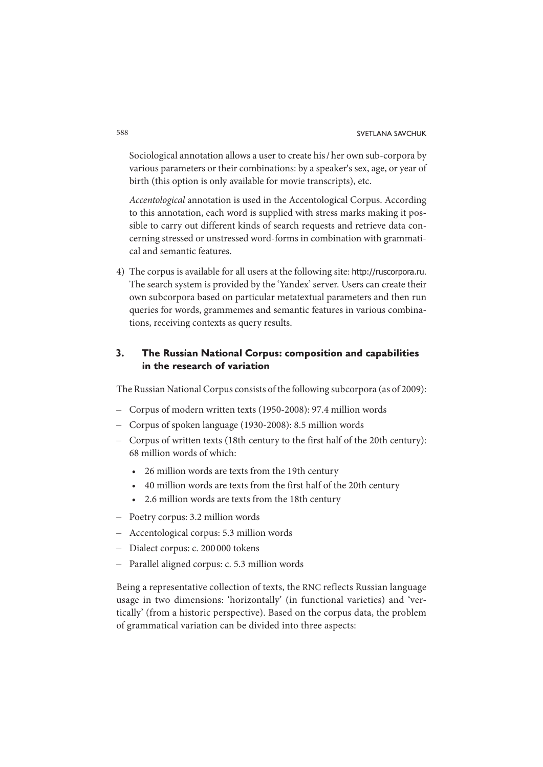Sociological annotation allows a user to create his / her own sub-corpora by various parameters or their combinations: by a speaker's sex, age, or year of birth (this option is only available for movie transcripts), etc.

Accentological annotation is used in the Accentological Corpus. According to this annotation, each word is supplied with stress marks making it possible to carry out different kinds of search requests and retrieve data concerning stressed or unstressed word-forms in combination with grammatical and semantic features.

4) The corpus is available for all users at the following site: http://ruscorpora.ru. The search system is provided by the 'Yandex' server. Users can create their own subcorpora based on particular metatextual parameters and then run queries for words, grammemes and semantic features in various combinations, receiving contexts as query results.

### **3. The Russian National Corpus: composition and capabilities in the research of variation**

The Russian National Corpus consists of the following subcorpora (as of 2009):

- Corpus of modern written texts (1950-2008): 97.4 million words
- Corpus of spoken language (1930-2008): 8.5 million words
- Corpus of written texts (18th century to the first half of the 20th century): 68 million words of which:
	- 26 million words are texts from the 19th century
	- 40 million words are texts from the first half of the 20th century
	- 2.6 million words are texts from the 18th century
- Poetry corpus: 3.2 million words
- Accentological corpus: 5.3 million words
- Dialect corpus: c. 200 000 tokens
- Parallel aligned corpus: c. 5.3 million words

Being a representative collection of texts, the RNC reflects Russian language usage in two dimensions: 'horizontally' (in functional varieties) and 'vertically' (from a historic perspective). Based on the corpus data, the problem of grammatical variation can be divided into three aspects: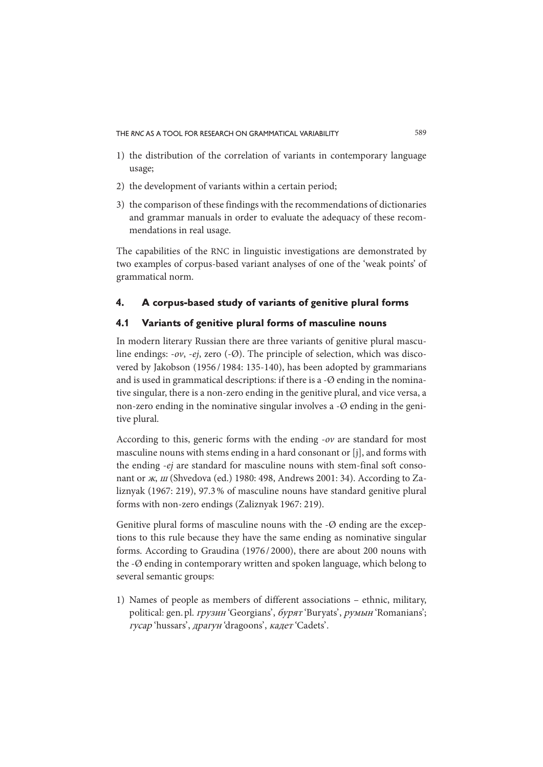THE *RNC* AS A TOOL FOR RESEARCH ON GRAMMATICAL VARIABILITY 589

- 1) the distribution of the correlation of variants in contemporary language usage;
- 2) the development of variants within a certain period;
- 3) the comparison of these findings with the recommendations of dictionaries and grammar manuals in order to evaluate the adequacy of these recommendations in real usage.

The capabilities of the RNC in linguistic investigations are demonstrated by two examples of corpus-based variant analyses of one of the 'weak points' of grammatical norm.

#### **4. A corpus-based study of variants of genitive plural forms**

### **4.1 Variants of genitive plural forms of masculine nouns**

In modern literary Russian there are three variants of genitive plural masculine endings:  $-v$ ,  $-ej$ , zero  $(-\emptyset)$ . The principle of selection, which was discovered by Jakobson (1956 / 1984: 135-140), has been adopted by grammarians and is used in grammatical descriptions: if there is a -Ø ending in the nominative singular, there is a non-zero ending in the genitive plural, and vice versa, a non-zero ending in the nominative singular involves a  $-\varnothing$  ending in the genitive plural.

According to this, generic forms with the ending -ov are standard for most masculine nouns with stems ending in a hard consonant or [j], and forms with the ending -ej are standard for masculine nouns with stem-final soft consonant or ж, ш (Shvedova (ed.) 1980: 498, Andrews 2001: 34). According to Zaliznyak (1967: 219), 97.3 % of masculine nouns have standard genitive plural forms with non-zero endings (Zaliznyak 1967: 219).

Genitive plural forms of masculine nouns with the  $-\varnothing$  ending are the exceptions to this rule because they have the same ending as nominative singular forms. According to Graudina (1976 / 2000), there are about 200 nouns with the -Ø ending in contemporary written and spoken language, which belong to several semantic groups:

1) Names of people as members of different associations – ethnic, military, political: gen. pl. грузин 'Georgians', бурят 'Buryats', румын 'Romanians'; гусар 'hussars' , драгун 'dragoons' , кадет 'Cadets' .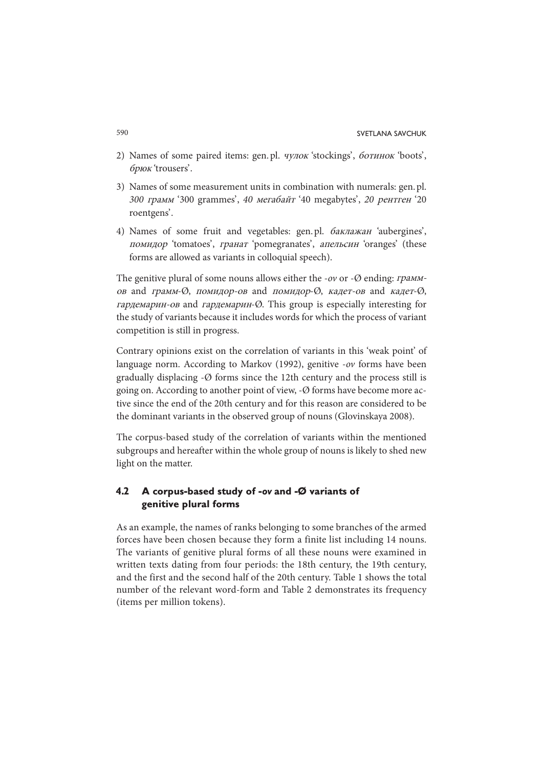- 2) Names of some paired items: gen. pl. чулок 'stockings' , ботинок 'boots' , брюк 'trousers' .
- 3) Names of some measurement units in combination with numerals: gen. pl. 300 грамм '300 grammes' , 40 мегабайт '40 megabytes' , 20 рентген '20 roentgens'.
- 4) Names of some fruit and vegetables: gen.pl. баклажан 'aubergines', помидор 'tomatoes', гранат 'pomegranates', апельсин 'oranges' (these forms are allowed as variants in colloquial speech).

The genitive plural of some nouns allows either the -ov or - $\emptyset$  ending: *грамм*ов and грамм-Ø, помидор-ов and помидор-Ø, кадет-ов and кадет-Ø, гардемарин-ов and гардемарин-Ø. This group is especially interesting for the study of variants because it includes words for which the process of variant competition is still in progress.

Contrary opinions exist on the correlation of variants in this 'weak point' of language norm. According to Markov (1992), genitive -ov forms have been gradually displacing -Ø forms since the 12th century and the process still is going on. According to another point of view, -Ø forms have become more active since the end of the 20th century and for this reason are considered to be the dominant variants in the observed group of nouns (Glovinskaya 2008).

The corpus-based study of the correlation of variants within the mentioned subgroups and hereafter within the whole group of nouns is likely to shed new light on the matter.

### **4.2 A corpus-based study of -***ov* **and -Ø variants of genitive plural forms**

As an example, the names of ranks belonging to some branches of the armed forces have been chosen because they form a finite list including 14 nouns. The variants of genitive plural forms of all these nouns were examined in written texts dating from four periods: the 18th century, the 19th century, and the first and the second half of the 20th century. Table 1 shows the total number of the relevant word-form and Table 2 demonstrates its frequency (items per million tokens).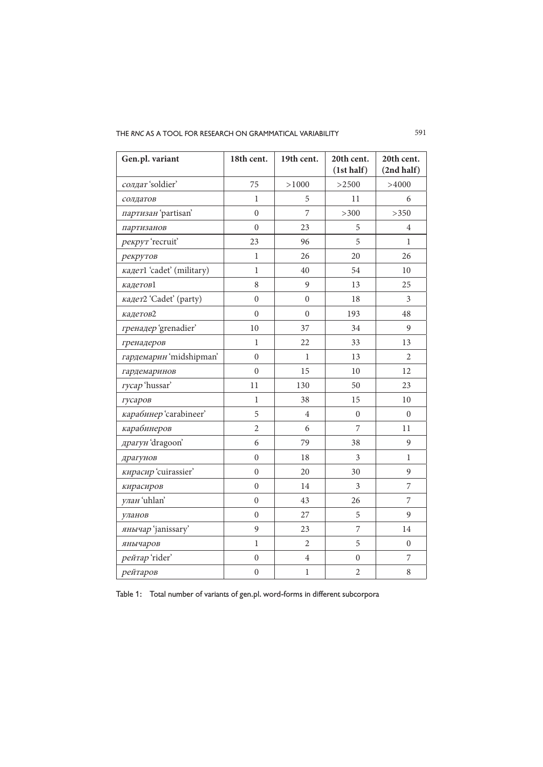THE RNC AS A TOOL FOR RESEARCH ON GRAMMATICAL VARIABILITY **591** 

| Gen.pl. variant           | 18th cent.       | 19th cent.     | 20th cent.<br>(1st half) | 20th cent.<br>(2nd half) |
|---------------------------|------------------|----------------|--------------------------|--------------------------|
| солдат 'soldier'          | 75               | >1000          | >2500                    | >4000                    |
| солдатов                  | $\mathbf{1}$     | 5              | 11                       | 6                        |
| партизан 'partisan'       | $\overline{0}$   | 7              | $>300$                   | >350                     |
| партизанов                | $\theta$         | 23             | 5                        | 4                        |
| рекрут 'recruit'          | 23               | 96             | 5                        | $\mathbf{1}$             |
| рекрутов                  | $\mathbf{1}$     | 26             | 20                       | 26                       |
| кадет1 'cadet' (military) | 1                | 40             | 54                       | 10                       |
| кадетов1                  | 8                | 9              | 13                       | 25                       |
| кадет2 'Cadet' (party)    | $\overline{0}$   | $\overline{0}$ | 18                       | 3                        |
| кадетов2                  | $\theta$         | $\theta$       | 193                      | 48                       |
| гренадер 'grenadier'      | 10               | 37             | 34                       | 9                        |
| гренадеров                | 1                | 22             | 33                       | 13                       |
| гардемарин 'midshipman'   | $\boldsymbol{0}$ | 1              | 13                       | $\overline{c}$           |
| гардемаринов              | $\theta$         | 15             | 10                       | 12                       |
| rycap 'hussar'            | 11               | 130            | 50                       | 23                       |
| гусаров                   | 1                | 38             | 15                       | 10                       |
| карабинер 'carabineer'    | 5                | $\overline{4}$ | $\overline{0}$           | $\boldsymbol{0}$         |
| карабинеров               | $\overline{2}$   | 6              | 7                        | 11                       |
| драгун 'dragoon'          | 6                | 79             | 38                       | 9                        |
| драгунов                  | $\boldsymbol{0}$ | 18             | 3                        | $\mathbf{1}$             |
| кирасир 'cuirassier'      | $\boldsymbol{0}$ | 20             | 30                       | $\mathbf{9}$             |
| кирасиров                 | $\boldsymbol{0}$ | 14             | 3                        | 7                        |
| улан 'uhlan'              | $\theta$         | 43             | 26                       | 7                        |
| уланов                    | $\theta$         | 27             | 5                        | 9                        |
| янычар 'janissary'        | 9                | 23             | 7                        | 14                       |
| янычаров                  | 1                | 2              | 5                        | $\overline{0}$           |
| peйтap'rider'             | $\overline{0}$   | $\overline{4}$ | $\overline{0}$           | 7                        |
| рейтаров                  | 0                | $\mathbf{1}$   | 2                        | 8                        |

Table 1: Total number of variants of gen. pl. word-forms in different subcorpora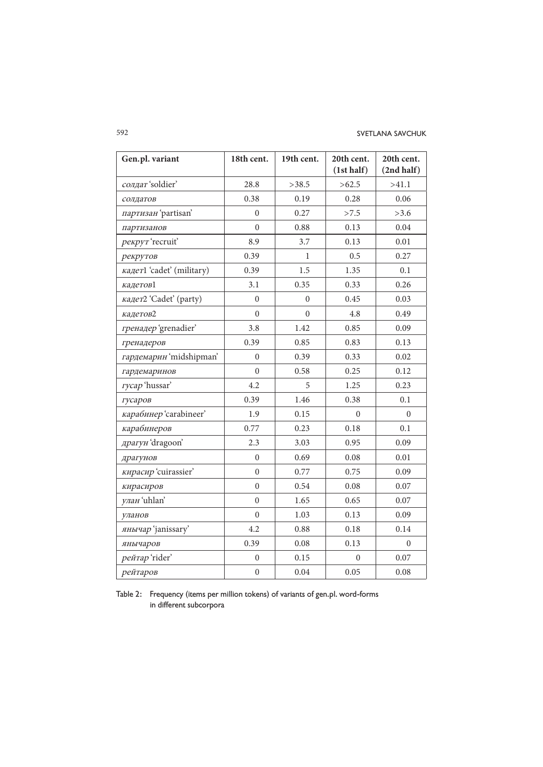#### 592 SVETLANA SAVCHUK

| Gen.pl. variant           | 18th cent.       | 19th cent. | 20th cent.<br>(1st half) | 20th cent.<br>(2nd half) |
|---------------------------|------------------|------------|--------------------------|--------------------------|
| солдат 'soldier'          | 28.8             | >38.5      | >62.5                    | >41.1                    |
| солдатов                  | 0.38             | 0.19       | 0.28                     | 0.06                     |
| партизан 'partisan'       | $\Omega$         | 0.27       | >7.5                     | >3.6                     |
| партизанов                | $\theta$         | 0.88       | 0.13                     | 0.04                     |
| рекрут 'recruit'          | 8.9              | 3.7        | 0.13                     | 0.01                     |
| рекрутов                  | 0.39             | 1          | 0.5                      | 0.27                     |
| кадет1 'cadet' (military) | 0.39             | 1.5        | 1.35                     | 0.1                      |
| кадетов1                  | 3.1              | 0.35       | 0.33                     | 0.26                     |
| кадет2 'Cadet' (party)    | $\Omega$         | $\theta$   | 0.45                     | 0.03                     |
| кадетов2                  | $\Omega$         | $\theta$   | 4.8                      | 0.49                     |
| гренадер 'grenadier'      | 3.8              | 1.42       | 0.85                     | 0.09                     |
| гренадеров                | 0.39             | 0.85       | 0.83                     | 0.13                     |
| гардемарин 'midshipman'   | $\overline{0}$   | 0.39       | 0.33                     | 0.02                     |
| гардемаринов              | $\Omega$         | 0.58       | 0.25                     | 0.12                     |
| rycap 'hussar'            | 4.2              | 5          | 1.25                     | 0.23                     |
| гусаров                   | 0.39             | 1.46       | 0.38                     | 0.1                      |
| карабинер 'carabineer'    | 1.9              | 0.15       | $\Omega$                 | $\Omega$                 |
| карабинеров               | 0.77             | 0.23       | 0.18                     | 0.1                      |
| драгун 'dragoon'          | 2.3              | 3.03       | 0.95                     | 0.09                     |
| драгунов                  | $\Omega$         | 0.69       | 0.08                     | 0.01                     |
| кирасир 'cuirassier'      | $\theta$         | 0.77       | 0.75                     | 0.09                     |
| кирасиров                 | $\Omega$         | 0.54       | 0.08                     | 0.07                     |
| улан 'uhlan'              | $\theta$         | 1.65       | 0.65                     | 0.07                     |
| уланов                    | $\mathbf{0}$     | 1.03       | 0.13                     | 0.09                     |
| янычар 'janissary'        | 4.2              | 0.88       | 0.18                     | 0.14                     |
| янычаров                  | 0.39             | 0.08       | 0.13                     | $\Omega$                 |
| peйrap'rider'             | $\overline{0}$   | 0.15       | $\Omega$                 | 0.07                     |
| рейтаров                  | $\boldsymbol{0}$ | 0.04       | 0.05                     | 0.08                     |

Table 2: Frequency (items per million tokens) of variants of gen. pl. word-forms in different subcorpora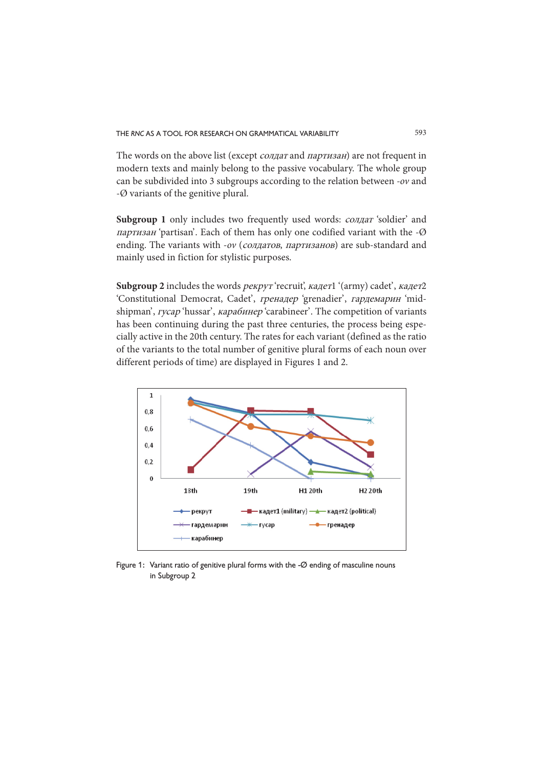The words on the above list (except солдат and партизан) are not frequent in modern texts and mainly belong to the passive vocabulary. The whole group can be subdivided into 3 subgroups according to the relation between -ov and -Ø variants of the genitive plural.

**Subgroup 1** only includes two frequently used words: cолдат 'soldier' and партизан 'partisan'. Each of them has only one codified variant with the  $-Ø$ ending. The variants with -ov (*солдатов*, *партизанов*) are sub-standard and mainly used in fiction for stylistic purposes.

Subgroup 2 includes the words *рекрут* 'recruit', кадет1 '(army) cadet', кадет2 'Constitutional Democrat, Cadet', гренадер 'grenadier', гардемарин 'midshipman', *гусар* 'hussar', *карабинер* 'carabineer'. The competition of variants has been continuing during the past three centuries, the process being especially active in the 20th century. The rates for each variant (defined as the ratio of the variants to the total number of genitive plural forms of each noun over different periods of time) are displayed in Figures 1 and 2.



Figure 1: Variant ratio of genitive plural forms with the -Ø ending of masculine nouns in Subgroup 2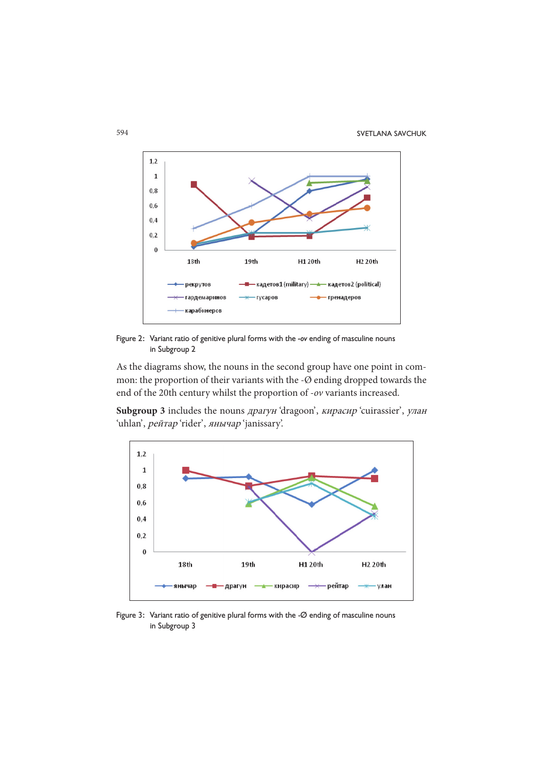

Figure 2: Variant ratio of genitive plural forms with the *-ov* ending of masculine nouns in Subgroup 2

As the diagrams show, the nouns in the second group have one point in common: the proportion of their variants with the -Ø ending dropped towards the end of the 20th century whilst the proportion of -ov variants increased.

Subgroup 3 includes the nouns драгун 'dragoon', кирасир 'cuirassier', улан 'uhlan', рейтар 'rider', янычар 'janissary'.



Figure 3: Variant ratio of genitive plural forms with the -Ø ending of masculine nouns in Subgroup 3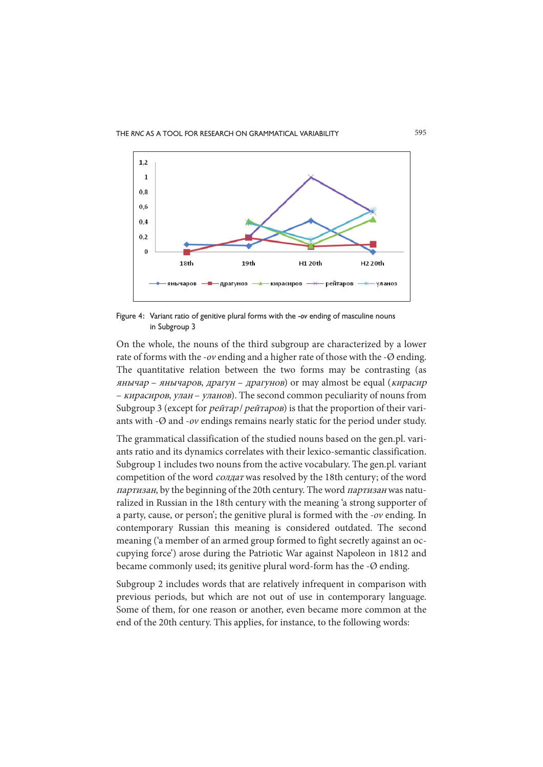

Figure 4: Variant ratio of genitive plural forms with the -*ov* ending of masculine nouns in Subgroup 3

On the whole, the nouns of the third subgroup are characterized by a lower rate of forms with the -ov ending and a higher rate of those with the -Ø ending. The quantitative relation between the two forms may be contrasting (as янычар – янычаров, драгун – драгунов) or may almost be equal (кирасир – кирасиров, улан – уланов). The second common peculiarity of nouns from Subgroup 3 (except for *рейтар* / *рейтаров*) is that the proportion of their variants with -Ø and -ov endings remains nearly static for the period under study.

The grammatical classification of the studied nouns based on the gen.pl. variants ratio and its dynamics correlates with their lexico-semantic classification. Subgroup 1 includes two nouns from the active vocabulary. The gen.pl. variant competition of the word солдат was resolved by the 18th century; of the word партизан, by the beginning of the 20th century. The word партизан was naturalized in Russian in the 18th century with the meaning 'a strong supporter of a party, cause, or person'; the genitive plural is formed with the -ov ending. In contemporary Russian this meaning is considered outdated. The second meaning ('a member of an armed group formed to fight secretly against an occupying force') arose during the Patriotic War against Napoleon in 1812 and became commonly used; its genitive plural word-form has the -Ø ending.

Subgroup 2 includes words that are relatively infrequent in comparison with previous periods, but which are not out of use in contemporary language. Some of them, for one reason or another, even became more common at the end of the 20th century. This applies, for instance, to the following words: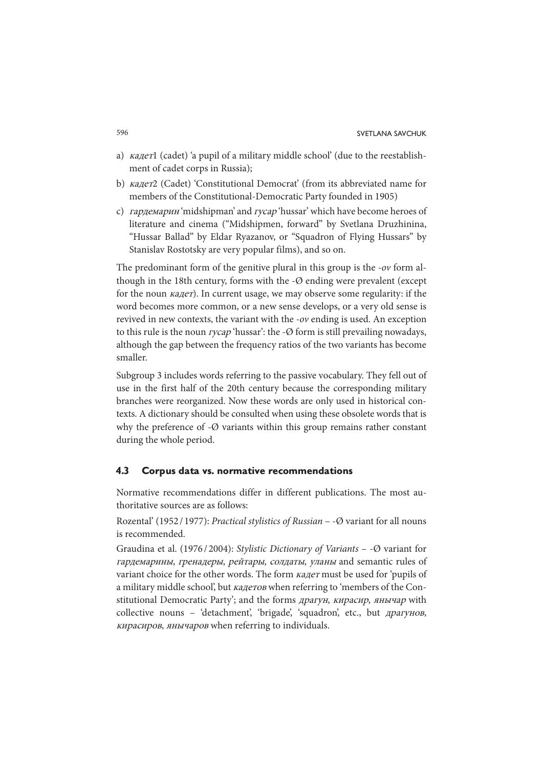- a) кадет1 (cadet) 'a pupil of a military middle school' (due to the reestablishment of cadet corps in Russia);
- b) кадет2 (Cadet) 'Constitutional Democrat' (from its abbreviated name for members of the Constitutional-Democratic Party founded in 1905)
- c) гардемарин 'midshipman' and гусар 'hussar' which have become heroes of literature and cinema ("Midshipmen, forward" by Svetlana Druzhinina, "Hussar Ballad" by Eldar Ryazanov, or "Squadron of Flying Hussars" by Stanislav Rostotsky are very popular films), and so on.

The predominant form of the genitive plural in this group is the -ov form although in the 18th century, forms with the -Ø ending were prevalent (except for the noun кадет). In current usage, we may observe some regularity: if the word becomes more common, or a new sense develops, or a very old sense is revived in new contexts, the variant with the -ov ending is used. An exception to this rule is the noun  $rycap$  'hussar': the - $\emptyset$  form is still prevailing nowadays, although the gap between the frequency ratios of the two variants has become smaller.

Subgroup 3 includes words referring to the passive vocabulary. They fell out of use in the first half of the 20th century because the corresponding military branches were reorganized. Now these words are only used in historical contexts. A dictionary should be consulted when using these obsolete words that is why the preference of  $-\varnothing$  variants within this group remains rather constant during the whole period.

#### **4.3 Corpus data vs. normative recommendations**

Normative recommendations differ in different publications. The most authoritative sources are as follows:

Rozental' (1952 / 1977): Practical stylistics of Russian – -Ø variant for all nouns is recommended.

Graudina et al. (1976/2004): Stylistic Dictionary of Variants –  $\varphi$  variant for гардемарины, гренадеры, рейтары, солдаты, уланы and semantic rules of variant choice for the other words. The form кадет must be used for 'pupils of a military middle school', but кадетов when referring to 'members of the Constitutional Democratic Party'; and the forms драгун, кирасир, янычар with collective nouns – 'detachment', 'brigade', 'squadron', etc., but драгунов, кирасиров, янычаров when referring to individuals.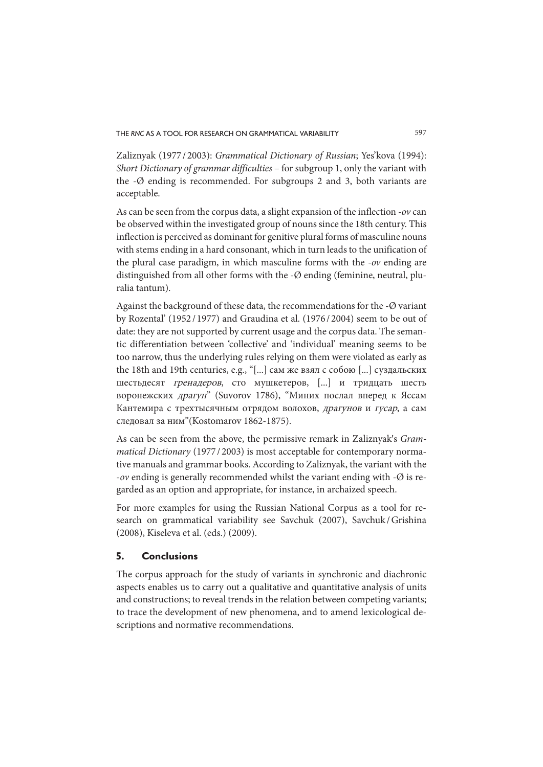Zaliznyak (1977 / 2003): Grammatical Dictionary of Russian; Yes'kova (1994): Short Dictionary of grammar difficulties – for subgroup 1, only the variant with the -Ø ending is recommended. For subgroups 2 and 3, both variants are acceptable.

As can be seen from the corpus data, a slight expansion of the inflection -ov can be observed within the investigated group of nouns since the 18th century. This inflection is perceived as dominant for genitive plural forms of masculine nouns with stems ending in a hard consonant, which in turn leads to the unification of the plural case paradigm, in which masculine forms with the -ov ending are distinguished from all other forms with the -Ø ending (feminine, neutral, pluralia tantum).

Against the background of these data, the recommendations for the -Ø variant by Rozental' (1952 / 1977) and Graudina et al. (1976 / 2004) seem to be out of date: they are not supported by current usage and the corpus data. The semantic differentiation between 'collective' and 'individual' meaning seems to be too narrow, thus the underlying rules relying on them were violated as early as the 18th and 19th centuries, e.g., "[...] сам же взял с собою [...] суздальских шестьдесят гренадеров, сто мушкетеров, [...] и тридцать шесть воронежских драгун" (Suvorov 1786), "Миних послал вперед к Яссам Кантемира с трехтысячным отрядом волохов, драгунов и гусар, а сам следовал за ним"(Kostomarov 1862-1875).

As can be seen from the above, the permissive remark in Zaliznyak's Grammatical Dictionary (1977/2003) is most acceptable for contemporary normative manuals and grammar books. According to Zaliznyak, the variant with the -ov ending is generally recommended whilst the variant ending with -Ø is regarded as an option and appropriate, for instance, in archaized speech.

For more examples for using the Russian National Corpus as a tool for research on grammatical variability see Savchuk (2007), Savchuk / Grishina (2008), Kiseleva et al. (eds.) (2009).

#### **5. Conclusions**

The corpus approach for the study of variants in synchronic and diachronic aspects enables us to carry out a qualitative and quantitative analysis of units and constructions; to reveal trends in the relation between competing variants; to trace the development of new phenomena, and to amend lexicological descriptions and normative recommendations.